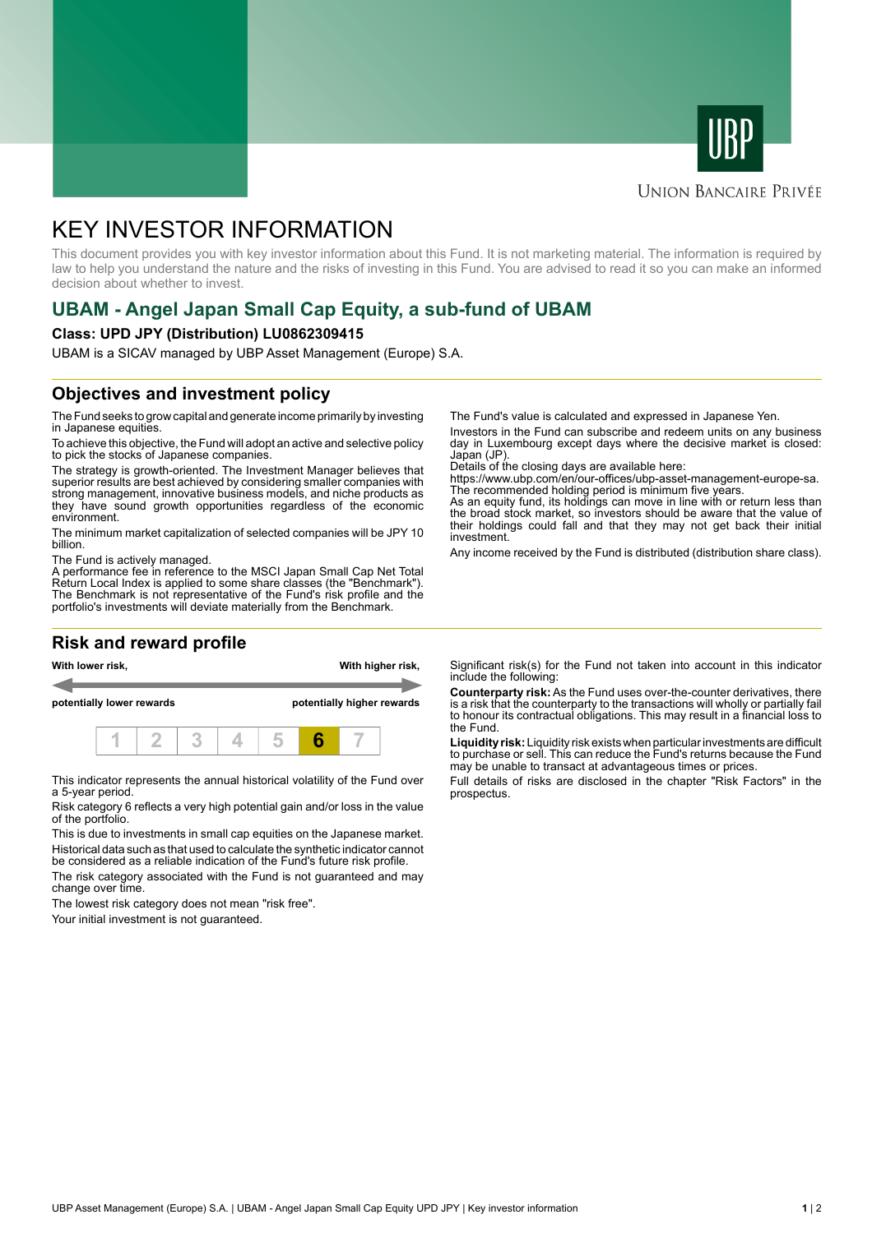



#### **UNION BANCAIRE PRIVÉE**

# KEY INVESTOR INFORMATION

This document provides you with key investor information about this Fund. It is not marketing material. The information is required by law to help you understand the nature and the risks of investing in this Fund. You are advised to read it so you can make an informed decision about whether to invest.

## **UBAM - Angel Japan Small Cap Equity, a sub-fund of UBAM**

#### **Class: UPD JPY (Distribution) LU0862309415**

UBAM is a SICAV managed by UBP Asset Management (Europe) S.A.

### **Objectives and investment policy**

The Fund seeks to grow capital and generate income primarily by investing in Japanese equities.

To achieve this objective, the Fund will adopt an active and selective policy to pick the stocks of Japanese companies.

The strategy is growth-oriented. The Investment Manager believes that superior results are best achieved by considering smaller companies with strong management, innovative business models, and niche products as they have sound growth opportunities regardless of the economic environment.

The minimum market capitalization of selected companies will be JPY 10 billion.

The Fund is actively managed.

A performance fee in reference to the MSCI Japan Small Cap Net Total Return Local Index is applied to some share classes (the "Benchmark"). The Benchmark is not representative of the Fund's risk profile and the portfolio's investments will deviate materially from the Benchmark.

### **Risk and reward profile**



This indicator represents the annual historical volatility of the Fund over a 5-year period.

Risk category 6 reflects a very high potential gain and/or loss in the value of the portfolio.

This is due to investments in small cap equities on the Japanese market. Historical data such as that used to calculate the synthetic indicator cannot be considered as a reliable indication of the Fund's future risk profile.

The risk category associated with the Fund is not guaranteed and may change over time.

The lowest risk category does not mean "risk free".

Your initial investment is not guaranteed.

The Fund's value is calculated and expressed in Japanese Yen.

Investors in the Fund can subscribe and redeem units on any business day in Luxembourg except days where the decisive market is closed: Japan (JP).

Details of the closing days are available here:

https://www.ubp.com/en/our-offices/ubp-asset-management-europe-sa. The recommended holding period is minimum five years.

As an equity fund, its holdings can move in line with or return less than the broad stock market, so investors should be aware that the value of their holdings could fall and that they may not get back their initial investment.

Any income received by the Fund is distributed (distribution share class).

Significant risk(s) for the Fund not taken into account in this indicator include the following:

**Counterparty risk:** As the Fund uses over-the-counter derivatives, there is a risk that the counterparty to the transactions will wholly or partially fail to honour its contractual obligations. This may result in a financial loss to the Fund.

**Liquidity risk:** Liquidity risk exists when particular investments are difficult to purchase or sell. This can reduce the Fund's returns because the Fund may be unable to transact at advantageous times or prices.

Full details of risks are disclosed in the chapter "Risk Factors" in the prospectus.